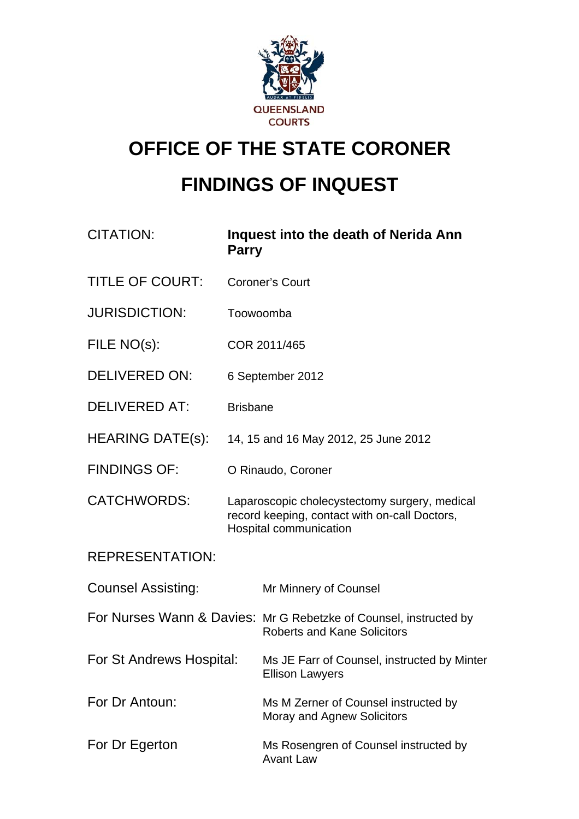

# **OFFICE OF THE STATE CORONER FINDINGS OF INQUEST**

| <b>CITATION:</b>          | <b>Parry</b>                                                                                                             | Inquest into the death of Nerida Ann                                                                    |
|---------------------------|--------------------------------------------------------------------------------------------------------------------------|---------------------------------------------------------------------------------------------------------|
| <b>TITLE OF COURT:</b>    | <b>Coroner's Court</b>                                                                                                   |                                                                                                         |
| <b>JURISDICTION:</b>      | Toowoomba                                                                                                                |                                                                                                         |
| FILE NO(s):               | COR 2011/465                                                                                                             |                                                                                                         |
| <b>DELIVERED ON:</b>      | 6 September 2012                                                                                                         |                                                                                                         |
| <b>DELIVERED AT:</b>      | <b>Brisbane</b>                                                                                                          |                                                                                                         |
| <b>HEARING DATE(s):</b>   | 14, 15 and 16 May 2012, 25 June 2012                                                                                     |                                                                                                         |
| <b>FINDINGS OF:</b>       | O Rinaudo, Coroner                                                                                                       |                                                                                                         |
| <b>CATCHWORDS:</b>        | Laparoscopic cholecystectomy surgery, medical<br>record keeping, contact with on-call Doctors,<br>Hospital communication |                                                                                                         |
| <b>REPRESENTATION:</b>    |                                                                                                                          |                                                                                                         |
| <b>Counsel Assisting:</b> |                                                                                                                          | Mr Minnery of Counsel                                                                                   |
|                           |                                                                                                                          | For Nurses Wann & Davies: Mr G Rebetzke of Counsel, instructed by<br><b>Roberts and Kane Solicitors</b> |
| For St Andrews Hospital:  |                                                                                                                          | Ms JE Farr of Counsel, instructed by Minter<br><b>Ellison Lawyers</b>                                   |
| For Dr Antoun:            |                                                                                                                          | Ms M Zerner of Counsel instructed by<br>Moray and Agnew Solicitors                                      |
| For Dr Egerton            |                                                                                                                          | Ms Rosengren of Counsel instructed by<br><b>Avant Law</b>                                               |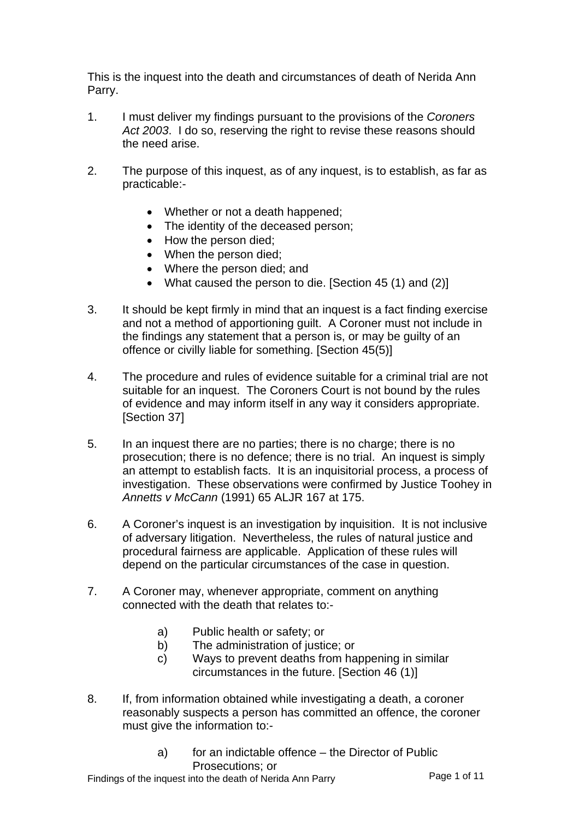This is the inquest into the death and circumstances of death of Nerida Ann Parry.

- 1. I must deliver my findings pursuant to the provisions of the *Coroners*  Act 2003. I do so, reserving the right to revise these reasons should the need arise.
- 2. The purpose of this inquest, as of any inquest, is to establish, as far as practicable:-
	- Whether or not a death happened;
	- The identity of the deceased person:
	- How the person died;
	- When the person died:
	- Where the person died; and
	- What caused the person to die. [Section 45 (1) and (2)]
- 3. It should be kept firmly in mind that an inquest is a fact finding exercise and not a method of apportioning guilt. A Coroner must not include in the findings any statement that a person is, or may be guilty of an offence or civilly liable for something. [Section 45(5)]
- 4. The procedure and rules of evidence suitable for a criminal trial are not suitable for an inquest. The Coroners Court is not bound by the rules of evidence and may inform itself in any way it considers appropriate. [Section 37]
- 5. In an inquest there are no parties; there is no charge; there is no prosecution; there is no defence; there is no trial. An inquest is simply an attempt to establish facts. It is an inquisitorial process, a process of investigation. These observations were confirmed by Justice Toohey in *Annetts v McCann* (1991) 65 ALJR 167 at 175.
- 6. A Coroner's inquest is an investigation by inquisition. It is not inclusive of adversary litigation. Nevertheless, the rules of natural justice and procedural fairness are applicable. Application of these rules will depend on the particular circumstances of the case in question.
- 7. A Coroner may, whenever appropriate, comment on anything connected with the death that relates to:
	- a) Public health or safety; or
	- b) The administration of justice; or
	- c) Ways to prevent deaths from happening in similar circumstances in the future. [Section 46 (1)]
- 8. If, from information obtained while investigating a death, a coroner reasonably suspects a person has committed an offence, the coroner must give the information to:
	- a) for an indictable offence the Director of Public Prosecutions; or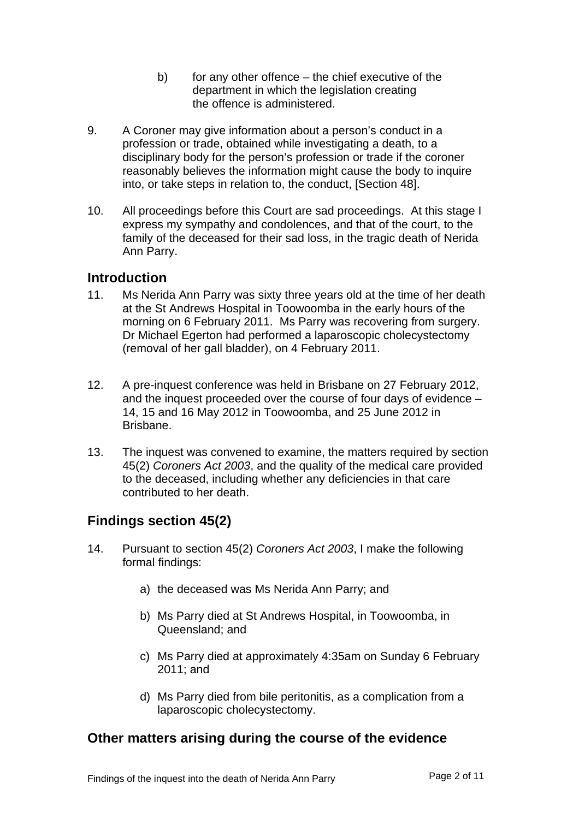- b) for any other offence the chief executive of the department in which the legislation creating the offence is administered.
- 9. A Coroner may give information about a person's conduct in a profession or trade, obtained while investigating a death, to a disciplinary body for the person's profession or trade if the coroner reasonably believes the information might cause the body to inquire into, or take steps in relation to, the conduct, [Section 48].
- 10. All proceedings before this Court are sad proceedings. At this stage I express my sympathy and condolences, and that of the court, to the family of the deceased for their sad loss, in the tragic death of Nerida Ann Parry.

#### **Introduction**

- 11. Ms Nerida Ann Parry was sixty three years old at the time of her death at the St Andrews Hospital in Toowoomba in the early hours of the morning on 6 February 2011. Ms Parry was recovering from surgery. Dr Michael Egerton had performed a laparoscopic cholecystectomy (removal of her gall bladder), on 4 February 2011.
- 12. A pre-inquest conference was held in Brisbane on 27 February 2012, and the inquest proceeded over the course of four days of evidence – 14, 15 and 16 May 2012 in Toowoomba, and 25 June 2012 in Brisbane.
- 13. The inquest was convened to examine, the matters required by section 45(2) *Coroners Act 2003*, and the quality of the medical care provided to the deceased, including whether any deficiencies in that care contributed to her death.

## **Findings section 45(2)**

- 14. Pursuant to section 45(2) *Coroners Act 2003*, I make the following formal findings:
	- a) the deceased was Ms Nerida Ann Parry; and
	- b) Ms Parry died at St Andrews Hospital, in Toowoomba, in Queensland; and
	- c) Ms Parry died at approximately 4:35am on Sunday 6 February 2011; and
	- d) Ms Parry died from bile peritonitis, as a complication from a laparoscopic cholecystectomy.

#### **Other matters arising during the course of the evidence**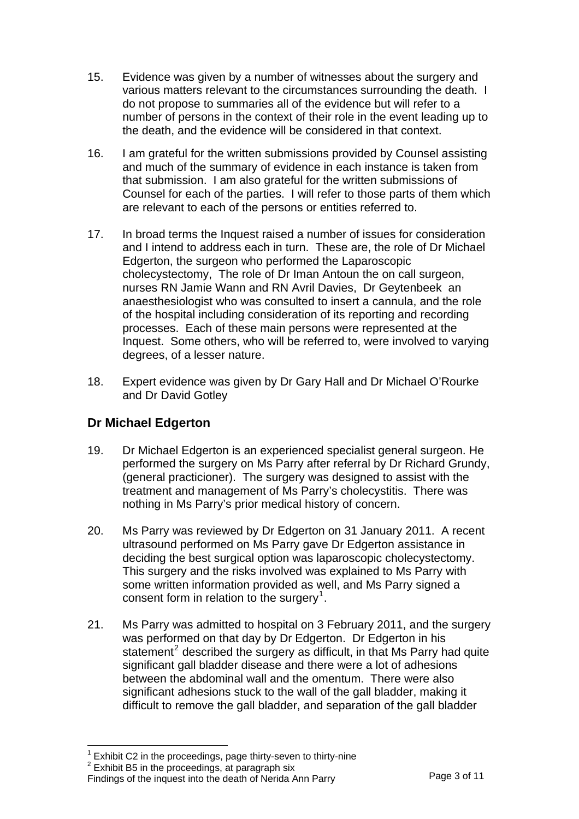- 15. Evidence was given by a number of witnesses about the surgery and various matters relevant to the circumstances surrounding the death. I do not propose to summaries all of the evidence but will refer to a number of persons in the context of their role in the event leading up to the death, and the evidence will be considered in that context.
- 16. I am grateful for the written submissions provided by Counsel assisting and much of the summary of evidence in each instance is taken from that submission. I am also grateful for the written submissions of Counsel for each of the parties. I will refer to those parts of them which are relevant to each of the persons or entities referred to.
- 17. In broad terms the Inquest raised a number of issues for consideration and I intend to address each in turn. These are, the role of Dr Michael Edgerton, the surgeon who performed the Laparoscopic cholecystectomy, The role of Dr Iman Antoun the on call surgeon, nurses RN Jamie Wann and RN Avril Davies, Dr Geytenbeek an anaesthesiologist who was consulted to insert a cannula, and the role of the hospital including consideration of its reporting and recording processes. Each of these main persons were represented at the Inquest. Some others, who will be referred to, were involved to varying degrees, of a lesser nature.
- 18. Expert evidence was given by Dr Gary Hall and Dr Michael O'Rourke and Dr David Gotley

## **Dr Michael Edgerton**

- 19. Dr Michael Edgerton is an experienced specialist general surgeon. He performed the surgery on Ms Parry after referral by Dr Richard Grundy, (general practicioner). The surgery was designed to assist with the treatment and management of Ms Parry's cholecystitis. There was nothing in Ms Parry's prior medical history of concern.
- 20. Ms Parry was reviewed by Dr Edgerton on 31 January 2011. A recent ultrasound performed on Ms Parry gave Dr Edgerton assistance in deciding the best surgical option was laparoscopic cholecystectomy. This surgery and the risks involved was explained to Ms Parry with some written information provided as well, and Ms Parry signed a consent form in relation to the surgery<sup>[1](#page-3-0)</sup>.
- 21. Ms Parry was admitted to hospital on 3 February 2011, and the surgery was performed on that day by Dr Edgerton. Dr Edgerton in his statement<sup>[2](#page-3-1)</sup> described the surgery as difficult, in that Ms Parry had quite significant gall bladder disease and there were a lot of adhesions between the abdominal wall and the omentum. There were also significant adhesions stuck to the wall of the gall bladder, making it difficult to remove the gall bladder, and separation of the gall bladder

 $\overline{a}$  $1$  Exhibit C2 in the proceedings, page thirty-seven to thirty-nine

<span id="page-3-0"></span> $2$  Exhibit B5 in the proceedings, at paragraph six

<span id="page-3-1"></span>Findings of the inquest into the death of Nerida Ann Parry Page 3 of 11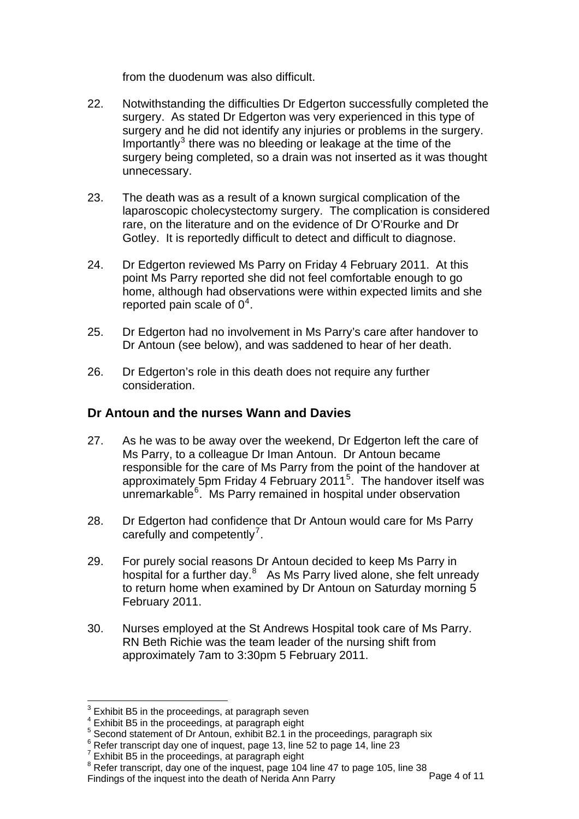from the duodenum was also difficult.

- 22. Notwithstanding the difficulties Dr Edgerton successfully completed the surgery. As stated Dr Edgerton was very experienced in this type of surgery and he did not identify any injuries or problems in the surgery. Importantly<sup>[3](#page-4-0)</sup> there was no bleeding or leakage at the time of the surgery being completed, so a drain was not inserted as it was thought unnecessary.
- 23. The death was as a result of a known surgical complication of the laparoscopic cholecystectomy surgery. The complication is considered rare, on the literature and on the evidence of Dr O'Rourke and Dr Gotley. It is reportedly difficult to detect and difficult to diagnose.
- 24. Dr Edgerton reviewed Ms Parry on Friday 4 February 2011. At this point Ms Parry reported she did not feel comfortable enough to go home, although had observations were within expected limits and she reported pain scale of  $0^4$  $0^4$ .
- 25. Dr Edgerton had no involvement in Ms Parry's care after handover to Dr Antoun (see below), and was saddened to hear of her death.
- 26. Dr Edgerton's role in this death does not require any further consideration.

#### **Dr Antoun and the nurses Wann and Davies**

- 27. As he was to be away over the weekend, Dr Edgerton left the care of Ms Parry, to a colleague Dr Iman Antoun. Dr Antoun became responsible for the care of Ms Parry from the point of the handover at approximately [5](#page-4-2)pm Friday 4 February 2011<sup>5</sup>. The handover itself was unremarkable<sup>[6](#page-4-3)</sup>. Ms Parry remained in hospital under observation
- 28. Dr Edgerton had confidence that Dr Antoun would care for Ms Parry carefully and competently<sup>[7](#page-4-4)</sup>.
- 29. For purely social reasons Dr Antoun decided to keep Ms Parry in hospital for a further day.<sup>[8](#page-4-5)</sup> As Ms Parry lived alone, she felt unready to return home when examined by Dr Antoun on Saturday morning 5 February 2011.
- 30. Nurses employed at the St Andrews Hospital took care of Ms Parry. RN Beth Richie was the team leader of the nursing shift from approximately 7am to 3:30pm 5 February 2011.

l

<span id="page-4-0"></span> $3$  Exhibit B5 in the proceedings, at paragraph seven

<span id="page-4-1"></span><sup>4</sup> Exhibit B5 in the proceedings, at paragraph eight

<sup>&</sup>lt;sup>5</sup> Second statement of Dr Antoun, exhibit B2.1 in the proceedings, paragraph six  $\frac{6}{5}$  Befor transcript day and of inquest, page 12, line 52 to page 14, line 23

<span id="page-4-4"></span><span id="page-4-3"></span><span id="page-4-2"></span> $6$  Refer transcript day one of inquest, page 13, line 52 to page 14, line 23

<sup>7</sup>

<span id="page-4-5"></span>Findings of the inquest into the death of Nerida Ann Parry Page 4 of 11  $^\prime$  Exhibit B5 in the proceedings, at paragraph eight<br> $^8$  Refer transcript, day one of the inquest, page 104 line 47 to page 105, line 38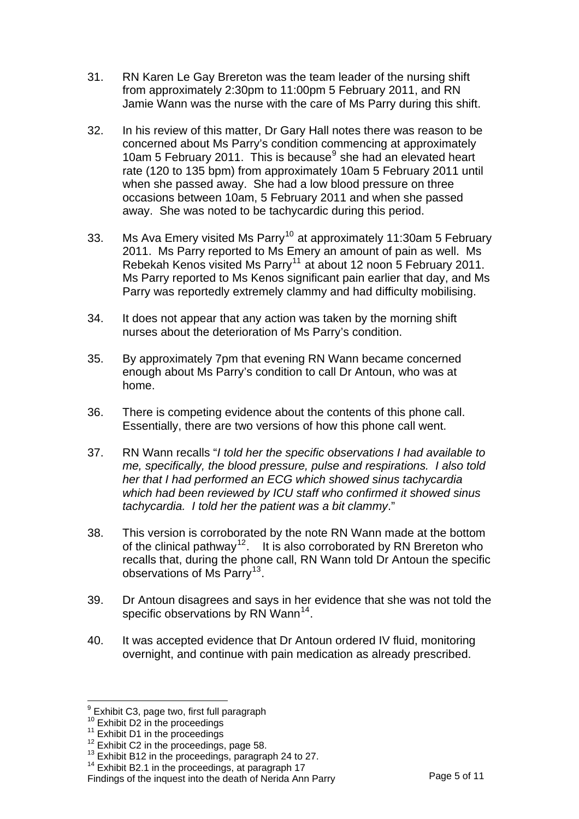- 31. RN Karen Le Gay Brereton was the team leader of the nursing shift from approximately 2:30pm to 11:00pm 5 February 2011, and RN Jamie Wann was the nurse with the care of Ms Parry during this shift.
- 32. In his review of this matter, Dr Gary Hall notes there was reason to be concerned about Ms Parry's condition commencing at approximately 10am 5 February 2011. This is because<sup>[9](#page-5-0)</sup> she had an elevated heart rate (120 to 135 bpm) from approximately 10am 5 February 2011 until when she passed away. She had a low blood pressure on three occasions between 10am, 5 February 2011 and when she passed away. She was noted to be tachycardic during this period.
- 33. Ms Ava Emery visited Ms Parry<sup>[10](#page-5-1)</sup> at approximately 11:30am 5 February 2011. Ms Parry reported to Ms Emery an amount of pain as well. Ms Rebekah Kenos visited Ms Parry<sup>[11](#page-5-2)</sup> at about 12 noon 5 February 2011. Ms Parry reported to Ms Kenos significant pain earlier that day, and Ms Parry was reportedly extremely clammy and had difficulty mobilising.
- 34. It does not appear that any action was taken by the morning shift nurses about the deterioration of Ms Parry's condition.
- 35. By approximately 7pm that evening RN Wann became concerned enough about Ms Parry's condition to call Dr Antoun, who was at home.
- 36. There is competing evidence about the contents of this phone call. Essentially, there are two versions of how this phone call went.
- 37. RN Wann recalls "*I told her the specific observations I had available to me, specifically, the blood pressure, pulse and respirations. I also told her that I had performed an ECG which showed sinus tachycardia which had been reviewed by ICU staff who confirmed it showed sinus tachycardia. I told her the patient was a bit clammy*."
- 38. This version is corroborated by the note RN Wann made at the bottom of the clinical pathway<sup>[12](#page-5-3)</sup>. It is also corroborated by RN Brereton who recalls that, during the phone call, RN Wann told Dr Antoun the specific observations of Ms Parry<sup>[13](#page-5-4)</sup>.
- 39. Dr Antoun disagrees and says in her evidence that she was not told the specific observations by RN Wann<sup>[14](#page-5-5)</sup>.
- 40. It was accepted evidence that Dr Antoun ordered IV fluid, monitoring overnight, and continue with pain medication as already prescribed.

l

<sup>&</sup>lt;sup>9</sup> Exhibit C3, page two, first full paragraph

<span id="page-5-2"></span>

<span id="page-5-3"></span>

<span id="page-5-1"></span><span id="page-5-0"></span><sup>&</sup>lt;sup>10</sup> Exhibit D2 in the proceedings<br><sup>11</sup> Exhibit D1 in the proceedings, page 58.<br><sup>12</sup> Exhibit C2 in the proceedings, paragraph 24 to 27.<br><sup>13</sup> Exhibit B12 in the proceedings, paragraph 24 to 27.

<span id="page-5-5"></span><span id="page-5-4"></span><sup>&</sup>lt;sup>14</sup> Exhibit B2.1 in the proceedings, at paragraph 17<br>Findings of the inquest into the death of Nerida Ann Parry Page 5 of 11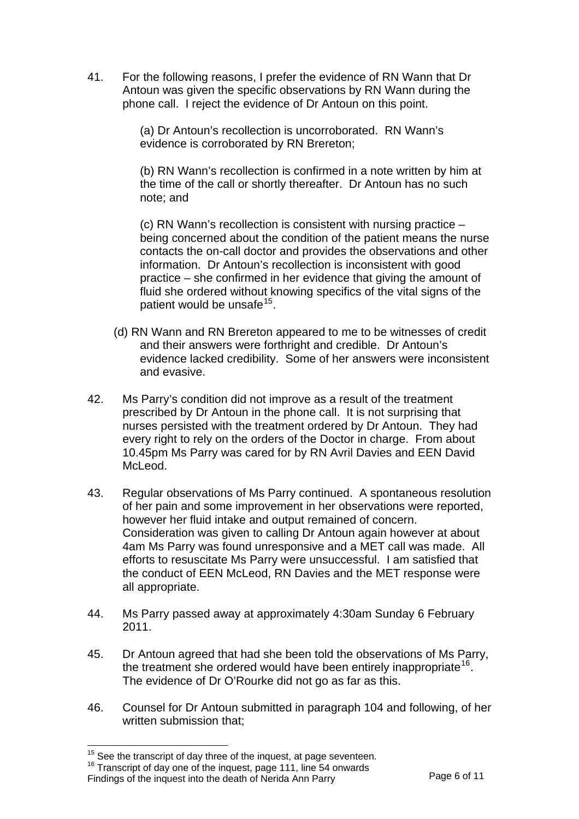41. For the following reasons, I prefer the evidence of RN Wann that Dr Antoun was given the specific observations by RN Wann during the phone call. I reject the evidence of Dr Antoun on this point.

> (a) Dr Antoun's recollection is uncorroborated. RN Wann's evidence is corroborated by RN Brereton;

(b) RN Wann's recollection is confirmed in a note written by him at the time of the call or shortly thereafter. Dr Antoun has no such note; and

(c) RN Wann's recollection is consistent with nursing practice – being concerned about the condition of the patient means the nurse contacts the on-call doctor and provides the observations and other information. Dr Antoun's recollection is inconsistent with good practice – she confirmed in her evidence that giving the amount of fluid she ordered without knowing specifics of the vital signs of the patient would be unsafe<sup>[15](#page-6-0)</sup>.

- (d) RN Wann and RN Brereton appeared to me to be witnesses of credit and their answers were forthright and credible. Dr Antoun's evidence lacked credibility. Some of her answers were inconsistent and evasive.
- 42. Ms Parry's condition did not improve as a result of the treatment prescribed by Dr Antoun in the phone call. It is not surprising that nurses persisted with the treatment ordered by Dr Antoun. They had every right to rely on the orders of the Doctor in charge. From about 10.45pm Ms Parry was cared for by RN Avril Davies and EEN David McLeod.
- 43. Regular observations of Ms Parry continued. A spontaneous resolution of her pain and some improvement in her observations were reported, however her fluid intake and output remained of concern. Consideration was given to calling Dr Antoun again however at about 4am Ms Parry was found unresponsive and a MET call was made. All efforts to resuscitate Ms Parry were unsuccessful. I am satisfied that the conduct of EEN McLeod, RN Davies and the MET response were all appropriate.
- 44. Ms Parry passed away at approximately 4:30am Sunday 6 February 2011.
- 45. Dr Antoun agreed that had she been told the observations of Ms Parry, the treatment she ordered would have been entirely inappropriate<sup>[16](#page-6-1)</sup>. The evidence of Dr O'Rourke did not go as far as this.
- 46. Counsel for Dr Antoun submitted in paragraph 104 and following, of her written submission that;

<sup>&</sup>lt;sup>15</sup> See the transcript of day three of the inquest, at page seventeen.

<span id="page-6-1"></span><span id="page-6-0"></span>Findings of the inquest into the death of Nerida Ann Parry Page 6 of 11 <sup>16</sup> Transcript of day one of the inquest, page 111, line 54 onwards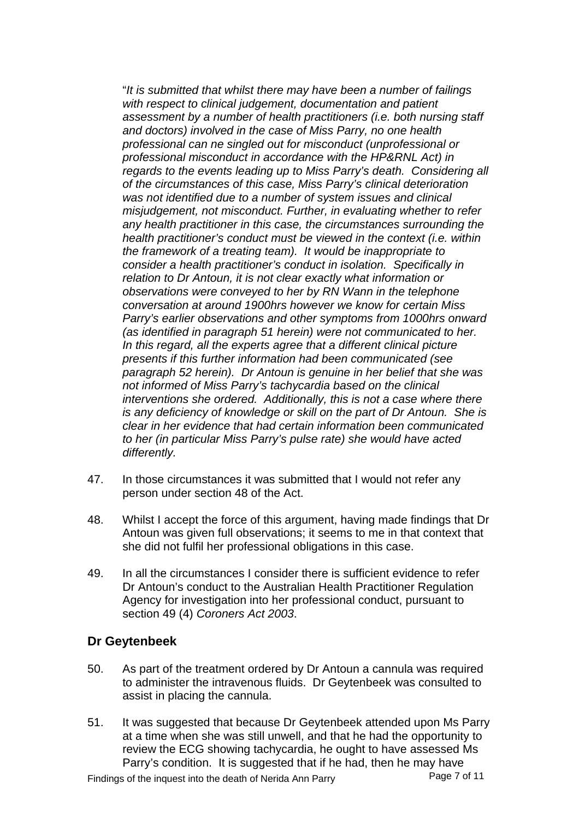"*It is submitted that whilst there may have been a number of failings with respect to clinical judgement, documentation and patient assessment by a number of health practitioners (i.e. both nursing staff and doctors) involved in the case of Miss Parry, no one health professional can ne singled out for misconduct (unprofessional or professional misconduct in accordance with the HP&RNL Act) in regards to the events leading up to Miss Parry's death. Considering all of the circumstances of this case, Miss Parry's clinical deterioration was not identified due to a number of system issues and clinical misjudgement, not misconduct. Further, in evaluating whether to refer any health practitioner in this case, the circumstances surrounding the health practitioner's conduct must be viewed in the context (i.e. within the framework of a treating team). It would be inappropriate to consider a health practitioner's conduct in isolation. Specifically in relation to Dr Antoun, it is not clear exactly what information or observations were conveyed to her by RN Wann in the telephone conversation at around 1900hrs however we know for certain Miss Parry's earlier observations and other symptoms from 1000hrs onward (as identified in paragraph 51 herein) were not communicated to her. In this regard, all the experts agree that a different clinical picture presents if this further information had been communicated (see paragraph 52 herein). Dr Antoun is genuine in her belief that she was not informed of Miss Parry's tachycardia based on the clinical interventions she ordered. Additionally, this is not a case where there is any deficiency of knowledge or skill on the part of Dr Antoun. She is clear in her evidence that had certain information been communicated to her (in particular Miss Parry's pulse rate) she would have acted differently.*

- 47. In those circumstances it was submitted that I would not refer any person under section 48 of the Act.
- 48. Whilst I accept the force of this argument, having made findings that Dr Antoun was given full observations; it seems to me in that context that she did not fulfil her professional obligations in this case.
- 49. In all the circumstances I consider there is sufficient evidence to refer Dr Antoun's conduct to the Australian Health Practitioner Regulation Agency for investigation into her professional conduct, pursuant to section 49 (4) *Coroners Act 2003*.

#### **Dr Geytenbeek**

- 50. As part of the treatment ordered by Dr Antoun a cannula was required to administer the intravenous fluids. Dr Geytenbeek was consulted to assist in placing the cannula.
- 51. It was suggested that because Dr Geytenbeek attended upon Ms Parry at a time when she was still unwell, and that he had the opportunity to review the ECG showing tachycardia, he ought to have assessed Ms Parry's condition. It is suggested that if he had, then he may have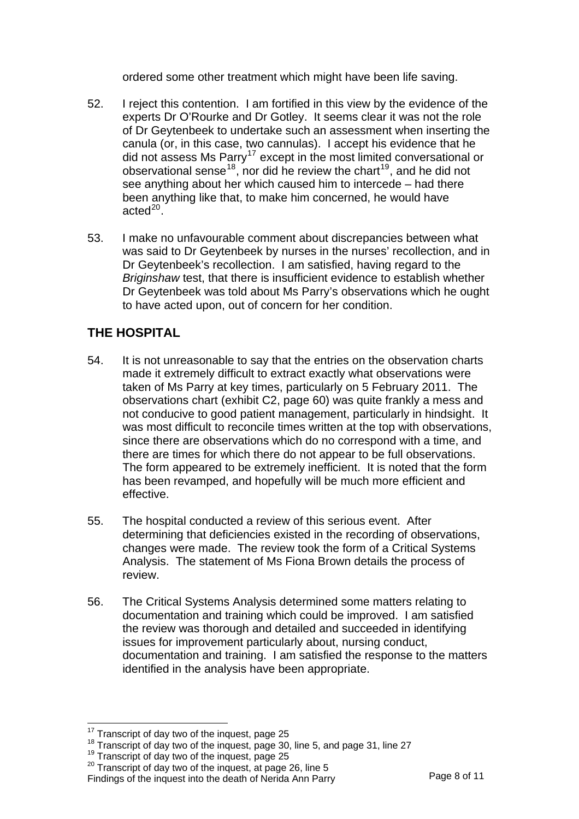ordered some other treatment which might have been life saving.

- 52. I reject this contention. I am fortified in this view by the evidence of the experts Dr O'Rourke and Dr Gotley. It seems clear it was not the role of Dr Geytenbeek to undertake such an assessment when inserting the canula (or, in this case, two cannulas). I accept his evidence that he did not assess Ms Parry<sup>[17](#page-8-0)</sup> except in the most limited conversational or observational sense<sup>[18](#page-8-1)</sup>, nor did he review the chart<sup>[19](#page-8-2)</sup>, and he did not see anything about her which caused him to intercede – had there been anything like that, to make him concerned, he would have  $\arcted^{20}$  $\arcted^{20}$  $\arcted^{20}$ .
- 53. I make no unfavourable comment about discrepancies between what was said to Dr Geytenbeek by nurses in the nurses' recollection, and in Dr Geytenbeek's recollection. I am satisfied, having regard to the *Briginshaw* test, that there is insufficient evidence to establish whether Dr Geytenbeek was told about Ms Parry's observations which he ought to have acted upon, out of concern for her condition.

## **THE HOSPITAL**

- 54. It is not unreasonable to say that the entries on the observation charts made it extremely difficult to extract exactly what observations were taken of Ms Parry at key times, particularly on 5 February 2011. The observations chart (exhibit C2, page 60) was quite frankly a mess and not conducive to good patient management, particularly in hindsight. It was most difficult to reconcile times written at the top with observations, since there are observations which do no correspond with a time, and there are times for which there do not appear to be full observations. The form appeared to be extremely inefficient. It is noted that the form has been revamped, and hopefully will be much more efficient and effective.
- 55. The hospital conducted a review of this serious event. After determining that deficiencies existed in the recording of observations, changes were made. The review took the form of a Critical Systems Analysis. The statement of Ms Fiona Brown details the process of review.
- 56. The Critical Systems Analysis determined some matters relating to documentation and training which could be improved. I am satisfied the review was thorough and detailed and succeeded in identifying issues for improvement particularly about, nursing conduct, documentation and training. I am satisfied the response to the matters identified in the analysis have been appropriate.

l

<span id="page-8-1"></span><span id="page-8-0"></span><sup>&</sup>lt;sup>17</sup> Transcript of day two of the inquest, page 25<br><sup>18</sup> Transcript of day two of the inquest, page 30, line 5, and page 31, line 27<br><sup>19</sup> Transcript of day two of the inquest, page 25

<span id="page-8-3"></span><span id="page-8-2"></span><sup>&</sup>lt;sup>20</sup> Transcript of day two of the inquest, at page 26, line 5<br>Findings of the inquest into the death of Nerida Ann Parry Page 8 of 11